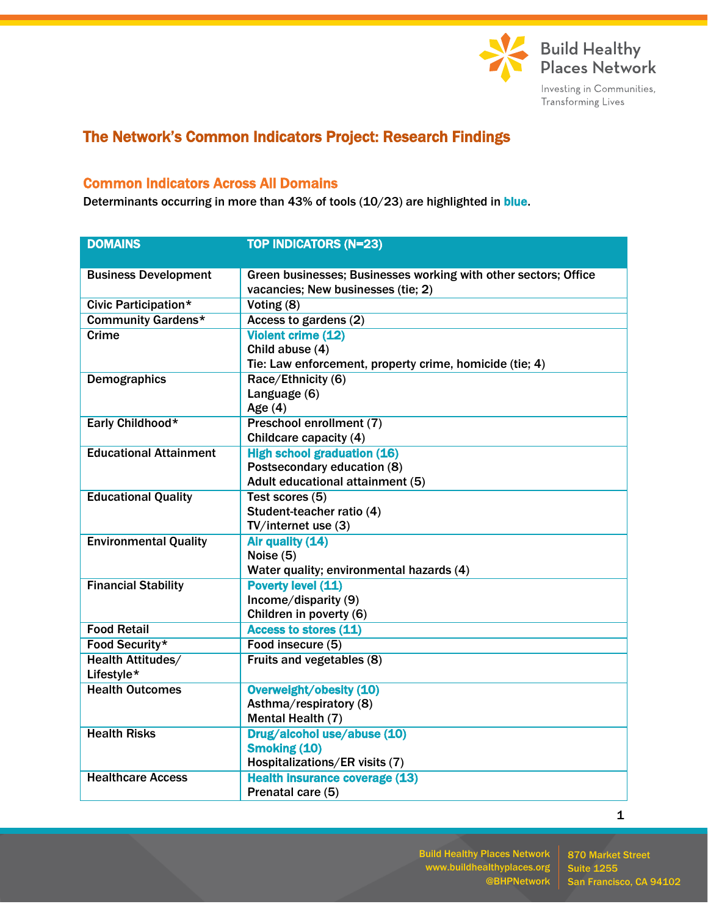

## The Network's Common Indicators Project: Research Findings

## Common Indicators Across All Domains

Determinants occurring in more than 43% of tools (10/23) are highlighted in blue.

| <b>DOMAINS</b>                         | <b>TOP INDICATORS (N=23)</b>                                    |  |  |
|----------------------------------------|-----------------------------------------------------------------|--|--|
|                                        |                                                                 |  |  |
| <b>Business Development</b>            | Green businesses; Businesses working with other sectors; Office |  |  |
|                                        | vacancies; New businesses (tie; 2)                              |  |  |
| <b>Civic Participation*</b>            | Voting (8)                                                      |  |  |
| <b>Community Gardens*</b>              | Access to gardens (2)                                           |  |  |
| Crime                                  | <b>Violent crime (12)</b>                                       |  |  |
|                                        | Child abuse (4)                                                 |  |  |
|                                        | Tie: Law enforcement, property crime, homicide (tie; 4)         |  |  |
| <b>Demographics</b>                    | Race/Ethnicity (6)                                              |  |  |
|                                        | Language (6)                                                    |  |  |
|                                        | Age $(4)$                                                       |  |  |
| Early Childhood*                       | Preschool enrollment (7)                                        |  |  |
|                                        | Childcare capacity (4)                                          |  |  |
| <b>Educational Attainment</b>          | <b>High school graduation (16)</b>                              |  |  |
|                                        | Postsecondary education (8)                                     |  |  |
|                                        | Adult educational attainment (5)                                |  |  |
| <b>Educational Quality</b>             | Test scores (5)                                                 |  |  |
|                                        | Student-teacher ratio (4)                                       |  |  |
|                                        | TV/internet use (3)                                             |  |  |
| <b>Environmental Quality</b>           | Air quality (14)                                                |  |  |
|                                        | Noise (5)                                                       |  |  |
|                                        | Water quality; environmental hazards (4)                        |  |  |
| <b>Financial Stability</b>             | <b>Poverty level (11)</b>                                       |  |  |
|                                        | Income/disparity (9)<br>Children in poverty (6)                 |  |  |
| <b>Food Retail</b>                     | Access to stores (11)                                           |  |  |
|                                        |                                                                 |  |  |
| Food Security*                         | Food insecure (5)                                               |  |  |
| <b>Health Attitudes/</b><br>Lifestyle* | Fruits and vegetables (8)                                       |  |  |
| <b>Health Outcomes</b>                 |                                                                 |  |  |
|                                        | Overweight/obesity (10)<br>Asthma/respiratory (8)               |  |  |
|                                        | Mental Health (7)                                               |  |  |
| <b>Health Risks</b>                    | Drug/alcohol use/abuse (10)                                     |  |  |
|                                        | <b>Smoking (10)</b>                                             |  |  |
|                                        | Hospitalizations/ER visits (7)                                  |  |  |
| <b>Healthcare Access</b>               | <b>Health insurance coverage (13)</b>                           |  |  |
|                                        |                                                                 |  |  |
|                                        | Prenatal care (5)                                               |  |  |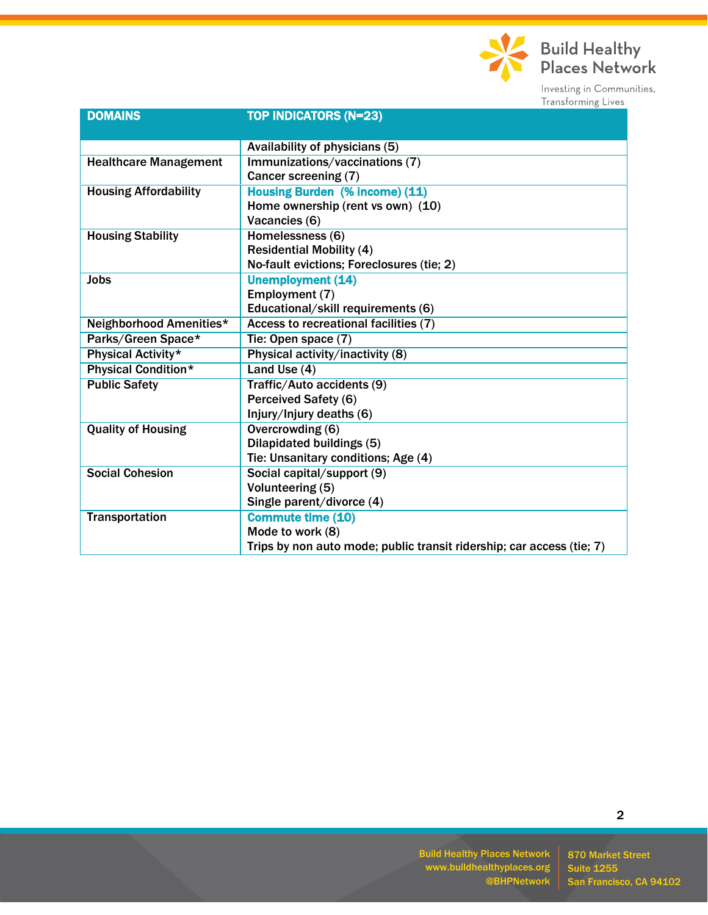

| <b>DOMAINS</b>               | <b>TOP INDICATORS (N=23)</b>                                          |
|------------------------------|-----------------------------------------------------------------------|
|                              |                                                                       |
|                              | Availability of physicians (5)                                        |
| <b>Healthcare Management</b> | Immunizations/vaccinations (7)                                        |
|                              | Cancer screening (7)                                                  |
| <b>Housing Affordability</b> | <b>Housing Burden (% income) (11)</b>                                 |
|                              | Home ownership (rent vs own) (10)                                     |
|                              | Vacancies (6)                                                         |
| <b>Housing Stability</b>     | Homelessness (6)                                                      |
|                              | <b>Residential Mobility (4)</b>                                       |
|                              | No-fault evictions; Foreclosures (tie; 2)                             |
| <b>Jobs</b>                  | <b>Unemployment (14)</b>                                              |
|                              | Employment (7)                                                        |
|                              | Educational/skill requirements (6)                                    |
| Neighborhood Amenities*      | Access to recreational facilities (7)                                 |
| Parks/Green Space*           | Tie: Open space (7)                                                   |
| <b>Physical Activity*</b>    | Physical activity/inactivity (8)                                      |
| <b>Physical Condition*</b>   | Land Use (4)                                                          |
| <b>Public Safety</b>         | Traffic/Auto accidents (9)                                            |
|                              | <b>Perceived Safety (6)</b>                                           |
|                              | Injury/Injury deaths (6)                                              |
| <b>Quality of Housing</b>    | Overcrowding (6)                                                      |
|                              | Dilapidated buildings (5)                                             |
|                              | Tie: Unsanitary conditions; Age (4)                                   |
| <b>Social Cohesion</b>       | Social capital/support (9)                                            |
|                              | Volunteering (5)                                                      |
|                              | Single parent/divorce (4)                                             |
| <b>Transportation</b>        | <b>Commute time (10)</b>                                              |
|                              | Mode to work (8)                                                      |
|                              | Trips by non auto mode; public transit ridership; car access (tie; 7) |

Build Healthy Places Network www.buildhealthyplaces.org @BHPNetwork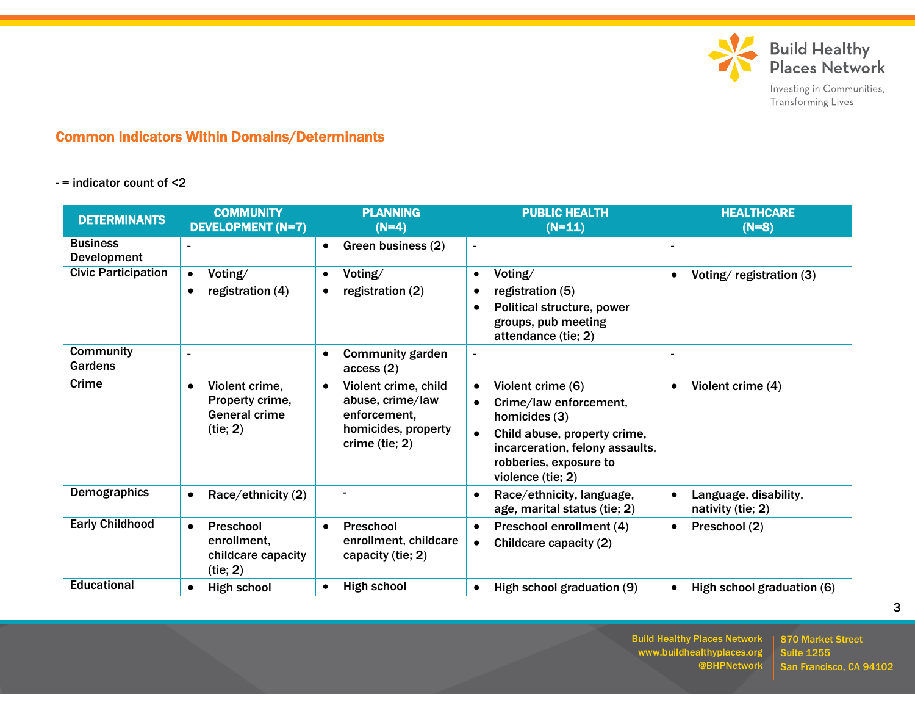

## Common Indicators Within Domains/Determinants

## - = indicator count of <2

| <b>DETERMINANTS</b>                | <b>COMMUNITY</b><br><b>DEVELOPMENT (N=7)</b>                          | <b>PLANNING</b><br>$(N=4)$                                                                                     | <b>PUBLIC HEALTH</b><br>$(N=11)$                                                                                                                                                                                      | <b>HEALTHCARE</b><br>$(N=8)$               |
|------------------------------------|-----------------------------------------------------------------------|----------------------------------------------------------------------------------------------------------------|-----------------------------------------------------------------------------------------------------------------------------------------------------------------------------------------------------------------------|--------------------------------------------|
| <b>Business</b><br>Development     |                                                                       | Green business (2)<br>$\bullet$                                                                                | $\blacksquare$                                                                                                                                                                                                        |                                            |
| <b>Civic Participation</b>         | Voting/<br>$\bullet$<br>registration (4)<br>$\bullet$                 | Voting/<br>$\bullet$<br>registration (2)<br>$\bullet$                                                          | Voting/<br>$\bullet$<br>registration (5)<br>$\bullet$<br>Political structure, power<br>groups, pub meeting<br>attendance (tie; 2)                                                                                     | Voting/registration (3)                    |
| <b>Community</b><br><b>Gardens</b> |                                                                       | <b>Community garden</b><br>$\bullet$<br>access(2)                                                              | $\blacksquare$                                                                                                                                                                                                        |                                            |
| Crime                              | Violent crime.<br>Property crime,<br><b>General crime</b><br>(tie; 2) | Violent crime, child<br>$\bullet$<br>abuse, crime/law<br>enforcement.<br>homicides, property<br>crime (tie; 2) | Violent crime (6)<br>$\bullet$<br>Crime/law enforcement,<br>$\bullet$<br>homicides (3)<br>Child abuse, property crime,<br>$\bullet$<br>incarceration, felony assaults,<br>robberies, exposure to<br>violence (tie; 2) | Violent crime (4)<br>$\bullet$             |
| <b>Demographics</b>                | Race/ethnicity (2)<br>$\bullet$                                       | ۰                                                                                                              | Race/ethnicity, language,<br>$\bullet$<br>age, marital status (tie; 2)                                                                                                                                                | Language, disability,<br>nativity (tie; 2) |
| <b>Early Childhood</b>             | Preschool<br>enrollment.<br>childcare capacity<br>(tie; 2)            | Preschool<br>$\bullet$<br>enrollment, childcare<br>capacity (tie; 2)                                           | Preschool enrollment (4)<br>$\bullet$<br>Childcare capacity (2)<br>$\bullet$                                                                                                                                          | Preschool (2)<br>$\bullet$                 |
| <b>Educational</b>                 | High school                                                           | High school                                                                                                    | High school graduation (9)<br>$\bullet$                                                                                                                                                                               | High school graduation (6)                 |

Build Healthy Places Network www.buildhealthyplaces.org @BHPNetwork

870 Market Street Suite 1255 San Francisco, CA 94102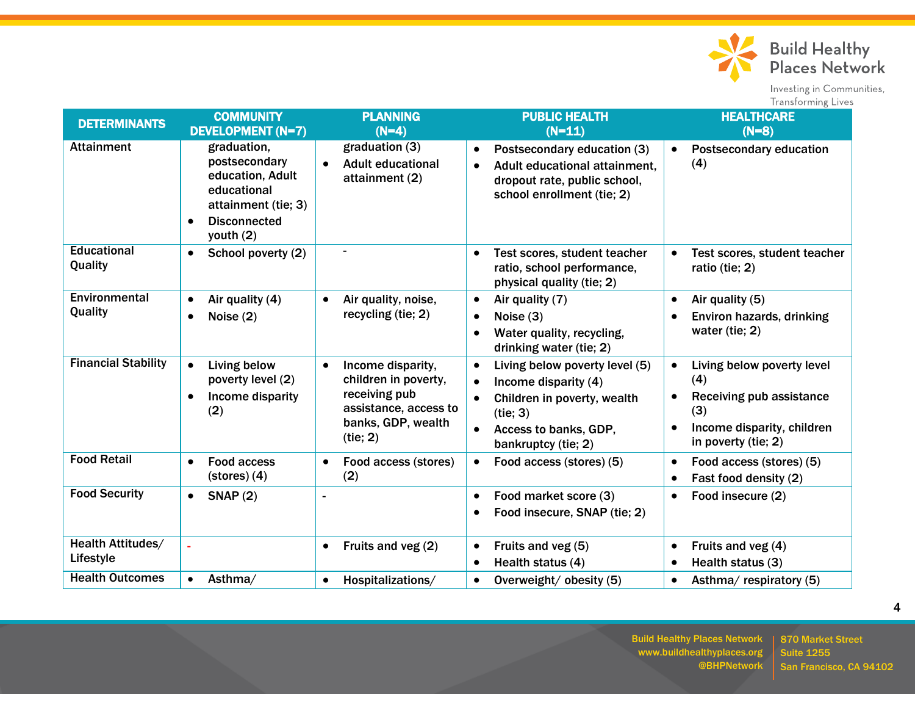

Build Healthy<br>Places Network

Investing in Communities, Transforming Lives

| <b>DETERMINANTS</b>            | <b>COMMUNITY</b><br><b>DEVELOPMENT (N=7)</b>                                                                                            | <b>PLANNING</b><br>$(N=4)$                                                                                                         | <b>PUBLIC HEALTH</b><br>$(N=11)$                                                                                                                                            | <b>HEALTHCARE</b><br>$(N=8)$                                                                                                                                     |
|--------------------------------|-----------------------------------------------------------------------------------------------------------------------------------------|------------------------------------------------------------------------------------------------------------------------------------|-----------------------------------------------------------------------------------------------------------------------------------------------------------------------------|------------------------------------------------------------------------------------------------------------------------------------------------------------------|
| <b>Attainment</b>              | graduation,<br>postsecondary<br>education, Adult<br>educational<br>attainment (tie; 3)<br><b>Disconnected</b><br>$\bullet$<br>youth (2) | graduation (3)<br><b>Adult educational</b><br>$\bullet$<br>attainment (2)                                                          | Postsecondary education (3)<br>$\bullet$<br>Adult educational attainment.<br>$\bullet$<br>dropout rate, public school,<br>school enrollment (tie; 2)                        | <b>Postsecondary education</b><br>$\bullet$<br>(4)                                                                                                               |
| <b>Educational</b><br>Quality  | School poverty (2)<br>$\bullet$                                                                                                         |                                                                                                                                    | Test scores, student teacher<br>$\bullet$<br>ratio, school performance,<br>physical quality (tie; 2)                                                                        | Test scores, student teacher<br>$\bullet$<br>ratio (tie; 2)                                                                                                      |
| Environmental<br>Quality       | Air quality (4)<br>$\bullet$<br>Noise $(2)$<br>$\bullet$                                                                                | Air quality, noise,<br>$\bullet$<br>recycling (tie; 2)                                                                             | Air quality (7)<br>$\bullet$<br>Noise $(3)$<br>$\bullet$<br>Water quality, recycling,<br>drinking water (tie; 2)                                                            | Air quality (5)<br>$\bullet$<br>Environ hazards, drinking<br>$\bullet$<br>water (tie; 2)                                                                         |
| <b>Financial Stability</b>     | <b>Living below</b><br>$\bullet$<br>poverty level (2)<br>Income disparity<br>$\bullet$<br>(2)                                           | Income disparity,<br>$\bullet$<br>children in poverty,<br>receiving pub<br>assistance, access to<br>banks, GDP, wealth<br>(tie; 2) | Living below poverty level (5)<br>$\bullet$<br>Income disparity (4)<br>$\bullet$<br>Children in poverty, wealth<br>(tie; 3)<br>Access to banks, GDP,<br>bankruptcy (tie; 2) | Living below poverty level<br>$\bullet$<br>(4)<br>Receiving pub assistance<br>$\bullet$<br>(3)<br>Income disparity, children<br>$\bullet$<br>in poverty (tie; 2) |
| <b>Food Retail</b>             | <b>Food access</b><br>$\bullet$<br>$\left( \text{stores} \right) (4)$                                                                   | Food access (stores)<br>(2)                                                                                                        | Food access (stores) (5)<br>$\bullet$                                                                                                                                       | Food access (stores) (5)<br>$\bullet$<br>Fast food density (2)<br>$\bullet$                                                                                      |
| <b>Food Security</b>           | SNAP(2)<br>$\bullet$                                                                                                                    |                                                                                                                                    | Food market score (3)<br>$\bullet$<br>Food insecure, SNAP (tie; 2)                                                                                                          | Food insecure (2)<br>$\bullet$                                                                                                                                   |
| Health Attitudes/<br>Lifestyle |                                                                                                                                         | Fruits and veg (2)                                                                                                                 | Fruits and veg (5)<br>$\bullet$<br>Health status (4)<br>$\bullet$                                                                                                           | Fruits and veg (4)<br>$\bullet$<br>Health status (3)<br>$\bullet$                                                                                                |
| <b>Health Outcomes</b>         | Asthma/<br>$\bullet$                                                                                                                    | Hospitalizations/<br>$\bullet$                                                                                                     | Overweight/obesity (5)<br>$\bullet$                                                                                                                                         | Asthma/respiratory (5)<br>$\bullet$                                                                                                                              |

Build Healthy Places Network www.buildhealthyplaces.org @BHPNetwork

870 Market Street Suite 1255 San Francisco, CA 94102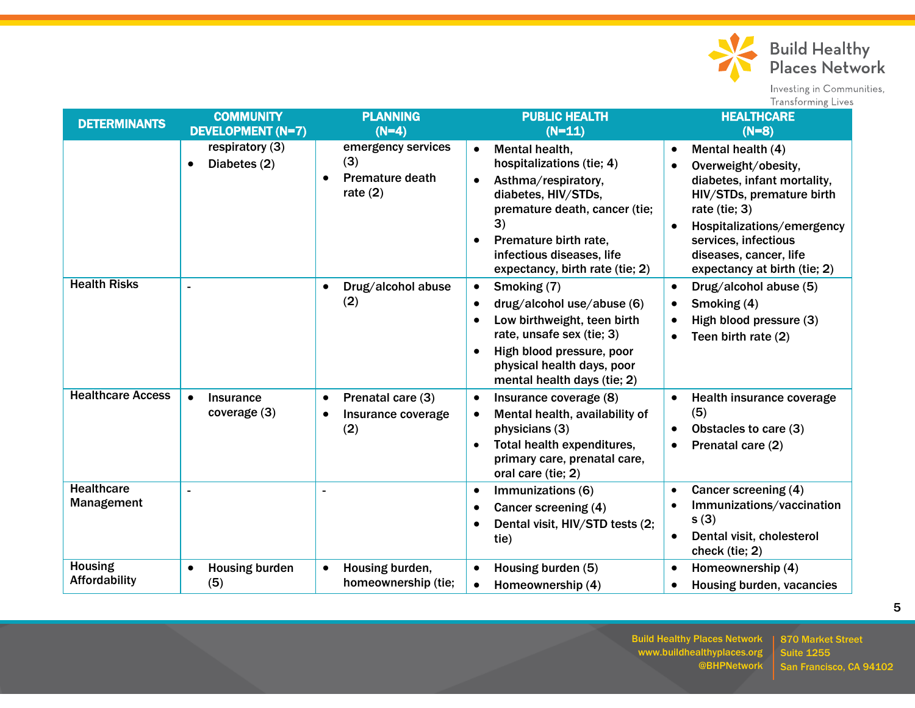

| <b>DETERMINANTS</b>             | <b>COMMUNITY</b><br><b>DEVELOPMENT (N=7)</b>  | <b>PLANNING</b><br>$(N=4)$                                                     | <b>PUBLIC HEALTH</b><br>$(N=11)$                                                                                                                                                                                                                    | <b>HEALTHCARE</b><br>$(N=8)$                                                                                                                                                                                                                                    |
|---------------------------------|-----------------------------------------------|--------------------------------------------------------------------------------|-----------------------------------------------------------------------------------------------------------------------------------------------------------------------------------------------------------------------------------------------------|-----------------------------------------------------------------------------------------------------------------------------------------------------------------------------------------------------------------------------------------------------------------|
|                                 | respiratory (3)<br>Diabetes (2)<br>$\bullet$  | emergency services<br>(3)<br><b>Premature death</b><br>$\bullet$<br>rate $(2)$ | Mental health.<br>$\bullet$<br>hospitalizations (tie; 4)<br>Asthma/respiratory,<br>$\bullet$<br>diabetes, HIV/STDs,<br>premature death, cancer (tie;<br>3)<br>Premature birth rate.<br>infectious diseases, life<br>expectancy, birth rate (tie; 2) | Mental health (4)<br>$\bullet$<br>Overweight/obesity,<br>diabetes, infant mortality,<br>HIV/STDs, premature birth<br>rate (tie; 3)<br>Hospitalizations/emergency<br>$\bullet$<br>services, infectious<br>diseases, cancer, life<br>expectancy at birth (tie; 2) |
| <b>Health Risks</b>             |                                               | Drug/alcohol abuse<br>$\bullet$<br>(2)                                         | Smoking (7)<br>$\bullet$<br>drug/alcohol use/abuse (6)<br>Low birthweight, teen birth<br>rate, unsafe sex (tie; 3)<br>High blood pressure, poor<br>physical health days, poor<br>mental health days (tie; 2)                                        | Drug/alcohol abuse (5)<br>$\bullet$<br>Smoking (4)<br>$\bullet$<br>High blood pressure (3)<br>Teen birth rate (2)                                                                                                                                               |
| <b>Healthcare Access</b>        | $\bullet$<br><b>Insurance</b><br>coverage (3) | Prenatal care (3)<br>$\bullet$<br>Insurance coverage<br>$\bullet$<br>(2)       | Insurance coverage (8)<br>$\bullet$<br>Mental health, availability of<br>physicians (3)<br>Total health expenditures,<br>primary care, prenatal care,<br>oral care (tie; 2)                                                                         | Health insurance coverage<br>$\bullet$<br>(5)<br>Obstacles to care (3)<br>$\bullet$<br>Prenatal care (2)<br>$\bullet$                                                                                                                                           |
| <b>Healthcare</b><br>Management |                                               |                                                                                | Immunizations (6)<br>$\bullet$<br>Cancer screening (4)<br>$\bullet$<br>Dental visit, HIV/STD tests (2;<br>tie)                                                                                                                                      | Cancer screening (4)<br>$\bullet$<br>Immunizations/vaccination<br>s(3)<br>Dental visit, cholesterol<br>$\bullet$<br>check (tie; 2)                                                                                                                              |
| <b>Housing</b><br>Affordability | <b>Housing burden</b><br>(5)                  | Housing burden,<br>$\bullet$<br>homeownership (tie;                            | Housing burden (5)<br>Homeownership (4)                                                                                                                                                                                                             | Homeownership (4)<br>Housing burden, vacancies<br>$\bullet$                                                                                                                                                                                                     |

Build Healthy Places Network www.buildhealthyplaces.org @BHPNetwork

870 Market Street Suite 1255 San Francisco, CA 94102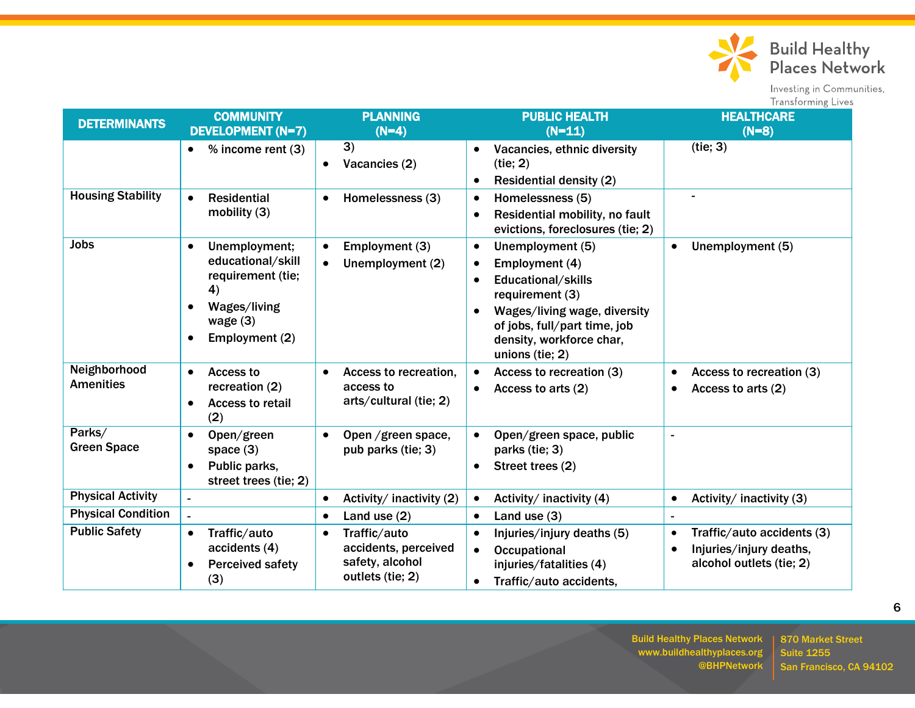

| <b>DETERMINANTS</b>              | <b>COMMUNITY</b><br><b>DEVELOPMENT (N=7)</b>                                                                                      | <b>PLANNING</b><br>$(N=4)$                                                               | <b>PUBLIC HEALTH</b><br>$(N=11)$                                                                                                                                                                        | <b>HEALTHCARE</b><br>$(N=8)$                                                                                |
|----------------------------------|-----------------------------------------------------------------------------------------------------------------------------------|------------------------------------------------------------------------------------------|---------------------------------------------------------------------------------------------------------------------------------------------------------------------------------------------------------|-------------------------------------------------------------------------------------------------------------|
|                                  | % income rent (3)                                                                                                                 | $\overline{3)}$<br>Vacancies (2)<br>$\bullet$                                            | Vacancies, ethnic diversity<br>$\bullet$<br>(tie; 2)<br><b>Residential density (2)</b>                                                                                                                  | (tie; 3)                                                                                                    |
| <b>Housing Stability</b>         | <b>Residential</b><br>$\bullet$<br>mobility $(3)$                                                                                 | Homelessness (3)<br>$\bullet$                                                            | Homelessness (5)<br>$\bullet$<br>Residential mobility, no fault<br>$\bullet$<br>evictions, foreclosures (tie; 2)                                                                                        |                                                                                                             |
| <b>Jobs</b>                      | Unemployment;<br>$\bullet$<br>educational/skill<br>requirement (tie;<br>4)<br><b>Wages/living</b><br>wage $(3)$<br>Employment (2) | Employment (3)<br>$\bullet$<br>Unemployment (2)<br>$\bullet$                             | Unemployment (5)<br>$\bullet$<br>Employment (4)<br>Educational/skills<br>requirement (3)<br>Wages/living wage, diversity<br>of jobs, full/part time, job<br>density, workforce char,<br>unions (tie; 2) | Unemployment (5)<br>$\bullet$                                                                               |
| Neighborhood<br><b>Amenities</b> | Access to<br>$\bullet$<br>recreation (2)<br><b>Access to retail</b><br>$\bullet$<br>(2)                                           | Access to recreation,<br>access to<br>arts/cultural (tie; 2)                             | Access to recreation (3)<br>Access to arts (2)<br>$\bullet$                                                                                                                                             | Access to recreation (3)<br>Access to arts (2)                                                              |
| Parks/<br><b>Green Space</b>     | Open/green<br>$\bullet$<br>space $(3)$<br>Public parks,<br>$\bullet$<br>street trees (tie; 2)                                     | Open /green space,<br>pub parks (tie; 3)                                                 | Open/green space, public<br>parks (tie; 3)<br>Street trees (2)<br>$\bullet$                                                                                                                             |                                                                                                             |
| <b>Physical Activity</b>         |                                                                                                                                   | Activity/ inactivity (2)<br>$\bullet$                                                    | Activity/ inactivity (4)<br>$\bullet$                                                                                                                                                                   | Activity/ inactivity (3)<br>$\bullet$                                                                       |
| <b>Physical Condition</b>        |                                                                                                                                   | Land use $(2)$<br>$\bullet$                                                              | Land use $(3)$<br>$\bullet$                                                                                                                                                                             |                                                                                                             |
| <b>Public Safety</b>             | Traffic/auto<br>$\bullet$<br>accidents (4)<br><b>Perceived safety</b><br>$\bullet$<br>(3)                                         | Traffic/auto<br>$\bullet$<br>accidents, perceived<br>safety, alcohol<br>outlets (tie; 2) | Injuries/injury deaths (5)<br><b>Occupational</b><br>injuries/fatalities (4)<br>Traffic/auto accidents,<br>$\bullet$                                                                                    | Traffic/auto accidents (3)<br>$\bullet$<br>Injuries/injury deaths,<br>$\bullet$<br>alcohol outlets (tie; 2) |

Build Healthy Places Network www.buildhealthyplaces.org @BHPNetwork

870 Market Street Suite 1255 San Francisco, CA 94102